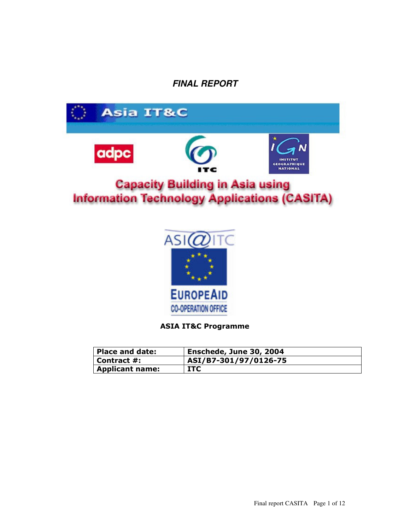# **FINAL REPORT**





### **ASIA IT&C Programme**

| Place and date:        | Enschede, June 30, 2004 |
|------------------------|-------------------------|
| Contract #:            | ASI/B7-301/97/0126-75   |
| <b>Applicant name:</b> | <b>ITC</b>              |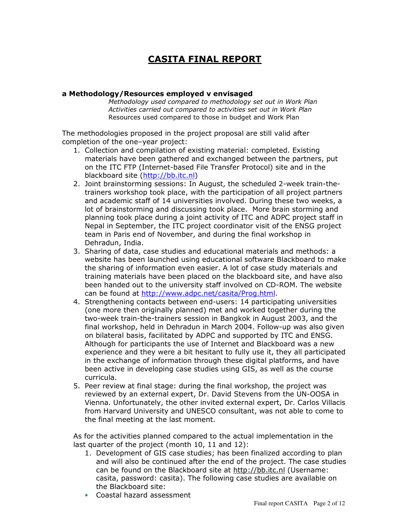# **CASITA FINAL REPORT**

### a Methodology/Resources employed v envisaged

Methodology used compared to methodology set out in Work Plan Activities carried out compared to activities set out in Work Plan Resources used compared to those in budget and Work Plan

The methodologies proposed in the project proposal are still valid after completion of the one-year project:

- 1. Collection and compilation of existing material: completed. Existing materials have been gathered and exchanged between the partners, put on the ITC FTP (Internet-based File Transfer Protocol) site and in the blackboard site (http://bb.itc.nl)
- 2. Joint brainstorming sessions: In August, the scheduled 2-week train-thetrainers workshop took place, with the participation of all project partners and academic staff of 14 universities involved. During these two weeks, a lot of brainstorming and discussing took place. More brain storming and planning took place during a joint activity of ITC and ADPC project staff in Nepal in September, the ITC project coordinator visit of the ENSG project team in Paris end of November, and during the final workshop in Dehradun, India.
- 3. Sharing of data, case studies and educational materials and methods: a website has been launched using educational software Blackboard to make the sharing of information even easier. A lot of case study materials and training materials have been placed on the blackboard site, and have also been handed out to the university staff involved on CD-ROM. The website can be found at http://www.adpc.net/casita/Prog.html.
- 4. Strengthening contacts between end-users: 14 participating universities (one more then originally planned) met and worked together during the two-week train-the-trainers session in Bangkok in August 2003, and the final workshop, held in Dehradun in March 2004. Follow-up was also given on bilateral basis, facilitated by ADPC and supported by ITC and ENSG. Although for participants the use of Internet and Blackboard was a new experience and they were a bit hesitant to fully use it, they all participated in the exchange of information through these digital platforms, and have been active in developing case studies using GIS, as well as the course curricula.
- 5. Peer review at final stage: during the final workshop, the project was reviewed by an external expert, Dr. David Stevens from the UN-OOSA in Vienna. Unfortunately, the other invited external expert, Dr. Carlos Villacis from Harvard University and UNESCO consultant, was not able to come to the final meeting at the last moment.

As for the activities planned compared to the actual implementation in the last quarter of the project (month 10, 11 and 12):

- 1. Development of GIS case studies; has been finalized according to plan and will also be continued after the end of the project. The case studies can be found on the Blackboard site at http://bb.itc.nl (Username: casita, password: casita). The following case studies are available on the Blackboard site:
- Coastal hazard assessment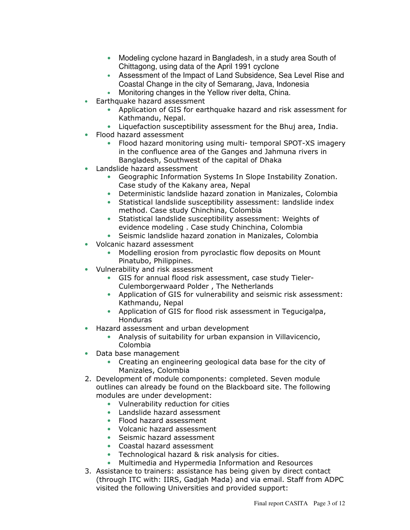- Modeling cyclone hazard in Bangladesh, in a study area South of Chittagong, using data of the April 1991 cyclone
- Assessment of the Impact of Land Subsidence, Sea Level Rise and Coastal Change in the city of Semarang, Java, Indonesia
- Monitoring changes in the Yellow river delta, China.
- Earthquake hazard assessment
	- Application of GIS for earthquake hazard and risk assessment for Kathmandu, Nepal.
	- Liquefaction susceptibility assessment for the Bhuj area, India.
- Flood hazard assessment
	- Flood hazard monitoring using multi- temporal SPOT-XS imagery in the confluence area of the Ganges and Jahmuna rivers in Bangladesh, Southwest of the capital of Dhaka
- Landslide hazard assessment
	- Geographic Information Systems In Slope Instability Zonation. Case study of the Kakany area, Nepal
	- Deterministic landslide hazard zonation in Manizales, Colombia
	- Statistical landslide susceptibility assessment: landslide index method. Case study Chinchina, Colombia
	- Statistical landslide susceptibility assessment: Weights of evidence modeling . Case study Chinchina, Colombia
	- Seismic landslide hazard zonation in Manizales, Colombia
- Volcanic hazard assessment
	- Modelling erosion from pyroclastic flow deposits on Mount Pinatubo, Philippines.
- Vulnerability and risk assessment
	- GIS for annual flood risk assessment, case study Tieler-Culemborgerwaard Polder, The Netherlands
	- Application of GIS for vulnerability and seismic risk assessment: Kathmandu, Nepal
	- Application of GIS for flood risk assessment in Tegucigalpa, **Honduras**
- Hazard assessment and urban development
	- Analysis of suitability for urban expansion in Villavicencio, Colombia
- Data base management
	- Creating an engineering geological data base for the city of Manizales, Colombia
- 2. Development of module components: completed. Seven module outlines can already be found on the Blackboard site. The following modules are under development:
	- Vulnerability reduction for cities
	- Landslide hazard assessment
	- Flood hazard assessment
	- Volcanic hazard assessment
	- Seismic hazard assessment
	- Coastal hazard assessment
	- Technological hazard & risk analysis for cities.
	- Multimedia and Hypermedia Information and Resources
- 3. Assistance to trainers: assistance has being given by direct contact (through ITC with: IIRS, Gadjah Mada) and via email. Staff from ADPC visited the following Universities and provided support: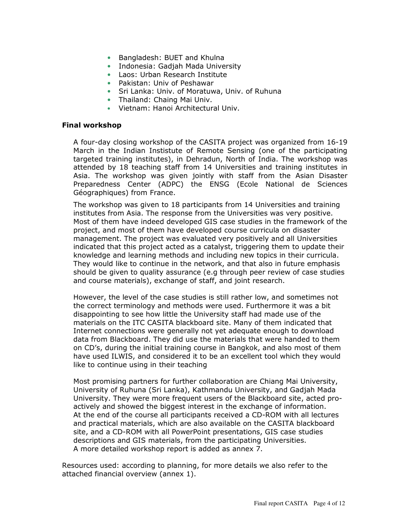- Bangladesh: BUET and Khulna
- Indonesia: Gadjah Mada University
- Laos: Urban Research Institute
- Pakistan: Univ of Peshawar
- Sri Lanka: Univ. of Moratuwa, Univ. of Ruhuna
- Thailand: Chaing Mai Univ.
- Vietnam: Hanoi Architectural Univ.

#### **Final workshop**

A four-day closing workshop of the CASITA project was organized from 16-19 March in the Indian Instistute of Remote Sensing (one of the participating targeted training institutes), in Dehradun, North of India. The workshop was attended by 18 teaching staff from 14 Universities and training institutes in Asia. The workshop was given jointly with staff from the Asian Disaster Preparedness Center (ADPC) the ENSG (Ecole National de Sciences Géographiques) from France.

The workshop was given to 18 participants from 14 Universities and training institutes from Asia. The response from the Universities was very positive. Most of them have indeed developed GIS case studies in the framework of the project, and most of them have developed course curricula on disaster management. The project was evaluated very positively and all Universities indicated that this project acted as a catalyst, triggering them to update their knowledge and learning methods and including new topics in their curricula. They would like to continue in the network, and that also in future emphasis should be given to quality assurance (e.g through peer review of case studies and course materials), exchange of staff, and joint research.

However, the level of the case studies is still rather low, and sometimes not the correct terminology and methods were used. Furthermore it was a bit disappointing to see how little the University staff had made use of the materials on the ITC CASITA blackboard site. Many of them indicated that Internet connections were generally not yet adequate enough to download data from Blackboard. They did use the materials that were handed to them on CD's, during the initial training course in Bangkok, and also most of them have used ILWIS, and considered it to be an excellent tool which they would like to continue using in their teaching

Most promising partners for further collaboration are Chiang Mai University, University of Ruhuna (Sri Lanka), Kathmandu University, and Gadjah Mada University. They were more frequent users of the Blackboard site, acted proactively and showed the biggest interest in the exchange of information. At the end of the course all participants received a CD-ROM with all lectures and practical materials, which are also available on the CASITA blackboard site, and a CD-ROM with all PowerPoint presentations, GIS case studies descriptions and GIS materials, from the participating Universities. A more detailed workshop report is added as annex 7.

Resources used: according to planning, for more details we also refer to the attached financial overview (annex 1).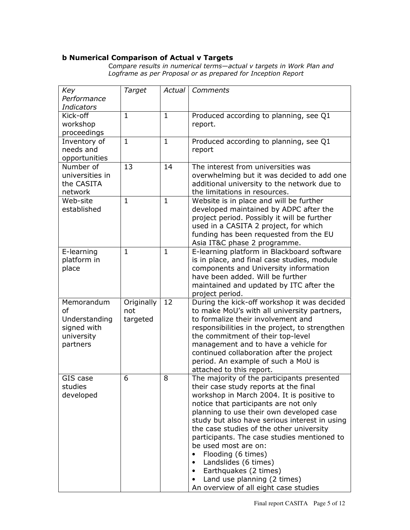## **b Numerical Comparison of Actual v Targets**

Compare results in numerical terms—actual v targets in Work Plan and<br>Logframe as per Proposal or as prepared for Inception Report

| Key<br>Target<br>Comments<br>Actual                                                      |
|------------------------------------------------------------------------------------------|
| Performance                                                                              |
| <b>Indicators</b>                                                                        |
| Kick-off<br>Produced according to planning, see Q1<br>$\mathbf{1}$<br>$\mathbf{1}$       |
| workshop<br>report.                                                                      |
| proceedings                                                                              |
| $\mathbf{1}$<br>Produced according to planning, see Q1<br>$\mathbf{1}$<br>Inventory of   |
| needs and<br>report                                                                      |
| opportunities                                                                            |
| Number of<br>13<br>14<br>The interest from universities was                              |
| universities in<br>overwhelming but it was decided to add one                            |
| additional university to the network due to<br>the CASITA                                |
| the limitations in resources.<br>network                                                 |
| Web-site<br>$\mathbf{1}$<br>$\mathbf{1}$                                                 |
| Website is in place and will be further                                                  |
| developed maintained by ADPC after the<br>established                                    |
| project period. Possibly it will be further                                              |
| used in a CASITA 2 project, for which                                                    |
| funding has been requested from the EU                                                   |
| Asia IT&C phase 2 programme.                                                             |
| E-learning platform in Blackboard software<br>E-learning<br>$\mathbf{1}$<br>$\mathbf{1}$ |
| platform in<br>is in place, and final case studies, module                               |
| place<br>components and University information                                           |
| have been added. Will be further                                                         |
| maintained and updated by ITC after the                                                  |
| project period.                                                                          |
| Originally<br>During the kick-off workshop it was decided<br>12<br>Memorandum            |
| <sub>of</sub><br>to make MoU's with all university partners,<br>not                      |
| Understanding<br>to formalize their involvement and<br>targeted                          |
| signed with<br>responsibilities in the project, to strengthen                            |
| university<br>the commitment of their top-level                                          |
| management and to have a vehicle for<br>partners                                         |
| continued collaboration after the project                                                |
| period. An example of such a MoU is                                                      |
| attached to this report.                                                                 |
| 6<br>The majority of the participants presented<br>GIS case<br>8                         |
| studies<br>their case study reports at the final                                         |
| developed<br>workshop in March 2004. It is positive to                                   |
| notice that participants are not only                                                    |
| planning to use their own developed case                                                 |
| study but also have serious interest in using                                            |
| the case studies of the other university                                                 |
| participants. The case studies mentioned to                                              |
| be used most are on:                                                                     |
| Flooding (6 times)<br>$\bullet$                                                          |
| Landslides (6 times)<br>$\bullet$                                                        |
| Earthquakes (2 times)<br>$\bullet$                                                       |
| Land use planning (2 times)<br>٠                                                         |
|                                                                                          |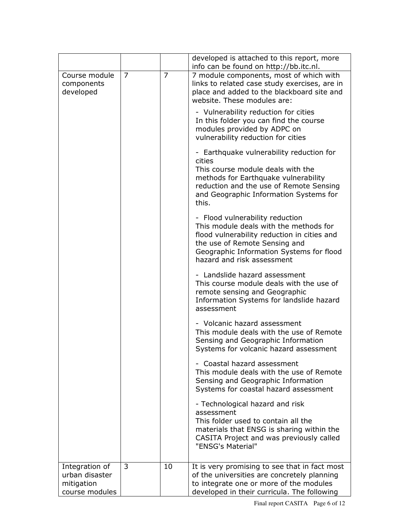|                                                                  |   |                | developed is attached to this report, more<br>info can be found on http://bb.itc.nl.                                                                                                                                                |
|------------------------------------------------------------------|---|----------------|-------------------------------------------------------------------------------------------------------------------------------------------------------------------------------------------------------------------------------------|
| Course module<br>components<br>developed                         | 7 | $\overline{7}$ | 7 module components, most of which with<br>links to related case study exercises, are in<br>place and added to the blackboard site and<br>website. These modules are:                                                               |
|                                                                  |   |                | - Vulnerability reduction for cities<br>In this folder you can find the course<br>modules provided by ADPC on<br>vulnerability reduction for cities                                                                                 |
|                                                                  |   |                | - Earthquake vulnerability reduction for<br>cities<br>This course module deals with the                                                                                                                                             |
|                                                                  |   |                | methods for Earthquake vulnerability<br>reduction and the use of Remote Sensing<br>and Geographic Information Systems for<br>this.                                                                                                  |
|                                                                  |   |                | - Flood vulnerability reduction<br>This module deals with the methods for<br>flood vulnerability reduction in cities and<br>the use of Remote Sensing and<br>Geographic Information Systems for flood<br>hazard and risk assessment |
|                                                                  |   |                | - Landslide hazard assessment<br>This course module deals with the use of<br>remote sensing and Geographic<br>Information Systems for landslide hazard<br>assessment                                                                |
|                                                                  |   |                | - Volcanic hazard assessment<br>This module deals with the use of Remote<br>Sensing and Geographic Information<br>Systems for volcanic hazard assessment                                                                            |
|                                                                  |   |                | - Coastal hazard assessment<br>This module deals with the use of Remote<br>Sensing and Geographic Information<br>Systems for coastal hazard assessment                                                                              |
|                                                                  |   |                | - Technological hazard and risk<br>assessment<br>This folder used to contain all the<br>materials that ENSG is sharing within the<br>CASITA Project and was previously called<br>"ENSG's Material"                                  |
| Integration of<br>urban disaster<br>mitigation<br>course modules | 3 | 10             | It is very promising to see that in fact most<br>of the universities are concretely planning<br>to integrate one or more of the modules<br>developed in their curricula. The following                                              |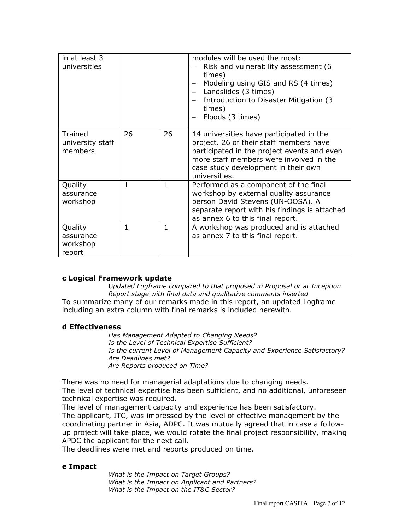| in at least 3<br>universities              |              |              | modules will be used the most:<br>Risk and vulnerability assessment (6<br>times)<br>Modeling using GIS and RS (4 times)<br>Landslides (3 times)<br>Introduction to Disaster Mitigation (3)<br>times)<br>Floods (3 times)              |
|--------------------------------------------|--------------|--------------|---------------------------------------------------------------------------------------------------------------------------------------------------------------------------------------------------------------------------------------|
| Trained<br>university staff<br>members     | 26           | 26           | 14 universities have participated in the<br>project. 26 of their staff members have<br>participated in the project events and even<br>more staff members were involved in the<br>case study development in their own<br>universities. |
| Quality<br>assurance<br>workshop           | $\mathbf{1}$ | $\mathbf{1}$ | Performed as a component of the final<br>workshop by external quality assurance<br>person David Stevens (UN-OOSA). A<br>separate report with his findings is attached<br>as annex 6 to this final report.                             |
| Quality<br>assurance<br>workshop<br>report | $\mathbf{1}$ | $\mathbf{1}$ | A workshop was produced and is attached<br>as annex 7 to this final report.                                                                                                                                                           |

#### c Logical Framework update

Updated Logframe compared to that proposed in Proposal or at Inception Report stage with final data and qualitative comments inserted To summarize many of our remarks made in this report, an updated Logframe including an extra column with final remarks is included herewith.

#### d Effectiveness

Has Management Adapted to Changing Needs? Is the Level of Technical Expertise Sufficient? Is the current Level of Management Capacity and Experience Satisfactory? Are Deadlines met? Are Reports produced on Time?

There was no need for managerial adaptations due to changing needs. The level of technical expertise has been sufficient, and no additional, unforeseen technical expertise was required.

The level of management capacity and experience has been satisfactory. The applicant, ITC, was impressed by the level of effective management by the coordinating partner in Asia, ADPC. It was mutually agreed that in case a followup project will take place, we would rotate the final project responsibility, making APDC the applicant for the next call.

The deadlines were met and reports produced on time.

#### e Impact

What is the Impact on Target Groups? What is the Impact on Applicant and Partners? What is the Impact on the IT&C Sector?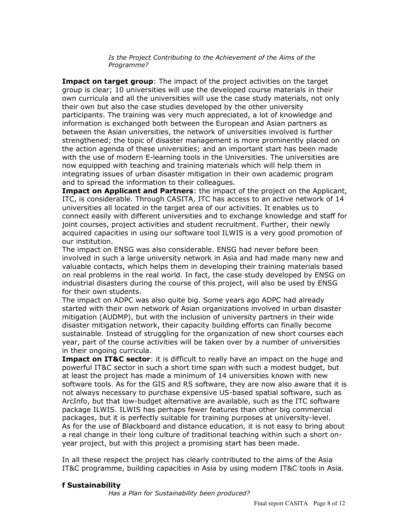Is the Project Contributing to the Achievement of the Aims of the Programme?

**Impact on target group:** The impact of the project activities on the target group is clear; 10 universities will use the developed course materials in their own curricula and all the universities will use the case study materials, not only their own but also the case studies developed by the other university participants. The training was very much appreciated, a lot of knowledge and information is exchanged both between the European and Asian partners as between the Asian universities, the network of universities involved is further strengthened; the topic of disaster management is more prominently placed on the action agenda of these universities; and an important start has been made with the use of modern E-learning tools in the Universities. The universities are now equipped with teaching and training materials which will help them in integrating issues of urban disaster mitigation in their own academic program and to spread the information to their colleagues.

Impact on Applicant and Partners: the impact of the project on the Applicant, ITC, is considerable. Through CASITA, ITC has access to an active network of 14 universities all located in the target area of our activities. It enables us to connect easily with different universities and to exchange knowledge and staff for joint courses, project activities and student recruitment. Further, their newly acquired capacities in using our software tool ILWIS is a very good promotion of our institution.

The impact on ENSG was also considerable. ENSG had never before been involved in such a large university network in Asia and had made many new and valuable contacts, which helps them in developing their training materials based on real problems in the real world. In fact, the case study developed by ENSG on industrial disasters during the course of this project, will also be used by ENSG for their own students.

The impact on ADPC was also guite big. Some years ago ADPC had already started with their own network of Asian organizations involved in urban disaster mitigation (AUDMP), but with the inclusion of university partners in their wide disaster mitigation network, their capacity building efforts can finally become sustainable. Instead of struggling for the organization of new short courses each year, part of the course activities will be taken over by a number of universities in their ongoing curricula.

**Impact on IT&C sector:** it is difficult to really have an impact on the huge and powerful IT&C sector in such a short time span with such a modest budget, but at least the project has made a minimum of 14 universities known with new software tools. As for the GIS and RS software, they are now also aware that it is not always necessary to purchase expensive US-based spatial software, such as ArcInfo, but that low-budget alternative are available, such as the ITC software package ILWIS, ILWIS has perhaps fewer features than other big commercial packages, but it is perfectly suitable for training purposes at university-level. As for the use of Blackboard and distance education, it is not easy to bring about a real change in their long culture of traditional teaching within such a short onyear project, but with this project a promising start has been made.

In all these respect the project has clearly contributed to the aims of the Asia IT&C programme, building capacities in Asia by using modern IT&C tools in Asia.

#### f Sustainability

Has a Plan for Sustainability been produced?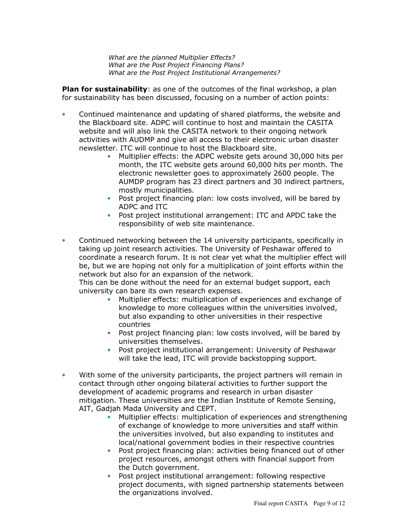What are the planned Multiplier Effects? What are the Post Project Financing Plans? What are the Post Project Institutional Arrangements?

**Plan for sustainability:** as one of the outcomes of the final workshop, a plan for sustainability has been discussed, focusing on a number of action points:

- Continued maintenance and updating of shared platforms, the website and  $\bullet$ the Blackboard site. ADPC will continue to host and maintain the CASITA website and will also link the CASITA network to their ongoing network activities with AUDMP and give all access to their electronic urban disaster newsletter. ITC will continue to host the Blackboard site.
	- Multiplier effects: the ADPC website gets around 30,000 hits per month, the ITC website gets around 60,000 hits per month. The electronic newsletter goes to approximately 2600 people. The AUMDP program has 23 direct partners and 30 indirect partners, mostly municipalities.
	- Post project financing plan: low costs involved, will be bared by ADPC and ITC
	- Post project institutional arrangement: ITC and APDC take the responsibility of web site maintenance.
- $\bullet$ Continued networking between the 14 university participants, specifically in taking up joint research activities. The University of Peshawar offered to coordinate a research forum. It is not clear yet what the multiplier effect will be, but we are hoping not only for a multiplication of joint efforts within the network but also for an expansion of the network.

This can be done without the need for an external budget support, each university can bare its own research expenses.

- Multiplier effects: multiplication of experiences and exchange of knowledge to more colleagues within the universities involved, but also expanding to other universities in their respective countries
- Post project financing plan: low costs involved, will be bared by universities themselves.
- Post project institutional arrangement: University of Peshawar will take the lead, ITC will provide backstopping support.
- With some of the university participants, the project partners will remain in  $\bullet$ contact through other ongoing bilateral activities to further support the development of academic programs and research in urban disaster mitigation. These universities are the Indian Institute of Remote Sensing, AIT, Gadjah Mada University and CEPT.
	- Multiplier effects: multiplication of experiences and strengthening  $\bullet$ of exchange of knowledge to more universities and staff within the universities involved, but also expanding to institutes and local/national government bodies in their respective countries
	- Post project financing plan: activities being financed out of other  $\bullet$ project resources, amongst others with financial support from the Dutch government.
	- Post project institutional arrangement: following respective  $\bullet$ project documents, with signed partnership statements between the organizations involved.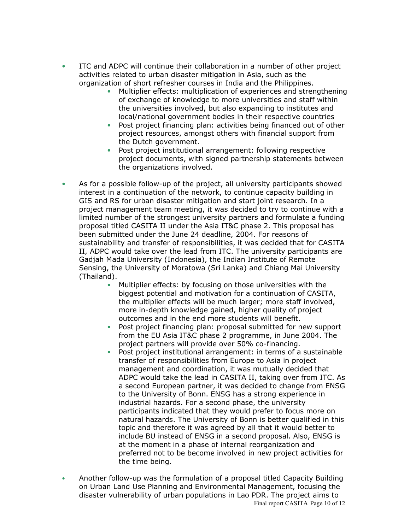- ITC and ADPC will continue their collaboration in a number of other project  $\bullet$ activities related to urban disaster mitigation in Asia, such as the organization of short refresher courses in India and the Philippines.
	- Multiplier effects: multiplication of experiences and strengthening of exchange of knowledge to more universities and staff within the universities involved, but also expanding to institutes and local/national government bodies in their respective countries
	- Post project financing plan: activities being financed out of other  $\bullet$ project resources, amongst others with financial support from the Dutch government.
	- $\bullet$ Post project institutional arrangement: following respective project documents, with signed partnership statements between the organizations involved.
- As for a possible follow-up of the project, all university participants showed  $\bullet$ interest in a continuation of the network, to continue capacity building in GIS and RS for urban disaster mitigation and start joint research. In a project management team meeting, it was decided to try to continue with a limited number of the strongest university partners and formulate a funding proposal titled CASITA II under the Asia IT&C phase 2. This proposal has been submitted under the June 24 deadline, 2004. For reasons of sustainability and transfer of responsibilities, it was decided that for CASITA II, ADPC would take over the lead from ITC. The university participants are Gadjah Mada University (Indonesia), the Indian Institute of Remote Sensing, the University of Moratowa (Sri Lanka) and Chiang Mai University (Thailand).
	- Multiplier effects: by focusing on those universities with the biggest potential and motivation for a continuation of CASITA, the multiplier effects will be much larger; more staff involved, more in-depth knowledge gained, higher quality of project outcomes and in the end more students will benefit.
	- $\bullet$ Post project financing plan: proposal submitted for new support from the EU Asia IT&C phase 2 programme, in June 2004. The project partners will provide over 50% co-financing.
	- Post project institutional arrangement: in terms of a sustainable  $\bullet$ transfer of responsibilities from Europe to Asia in project management and coordination, it was mutually decided that ADPC would take the lead in CASITA II, taking over from ITC. As a second European partner, it was decided to change from ENSG to the University of Bonn. ENSG has a strong experience in industrial hazards. For a second phase, the university participants indicated that they would prefer to focus more on natural hazards. The University of Bonn is better qualified in this topic and therefore it was agreed by all that it would better to include BU instead of ENSG in a second proposal. Also, ENSG is at the moment in a phase of internal reorganization and preferred not to be become involved in new project activities for the time being.
- Another follow-up was the formulation of a proposal titled Capacity Building  $\bullet$ on Urban Land Use Planning and Environmental Management, focusing the disaster vulnerability of urban populations in Lao PDR. The project aims to Final report CASITA Page 10 of 12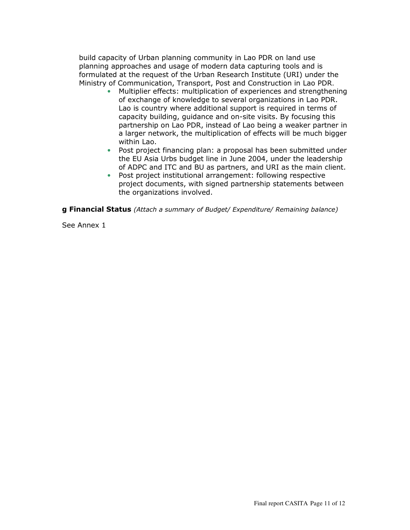build capacity of Urban planning community in Lao PDR on land use planning approaches and usage of modern data capturing tools and is formulated at the request of the Urban Research Institute (URI) under the Ministry of Communication, Transport, Post and Construction in Lao PDR.

- Multiplier effects: multiplication of experiences and strengthening of exchange of knowledge to several organizations in Lao PDR. Lao is country where additional support is required in terms of capacity building, guidance and on-site visits. By focusing this partnership on Lao PDR, instead of Lao being a weaker partner in a larger network, the multiplication of effects will be much bigger within Lao.
- $\bullet$ Post project financing plan: a proposal has been submitted under the EU Asia Urbs budget line in June 2004, under the leadership of ADPC and ITC and BU as partners, and URI as the main client.
- $\bullet$ Post project institutional arrangement: following respective project documents, with signed partnership statements between the organizations involved.

g Financial Status (Attach a summary of Budget/ Expenditure/ Remaining balance)

See Annex 1